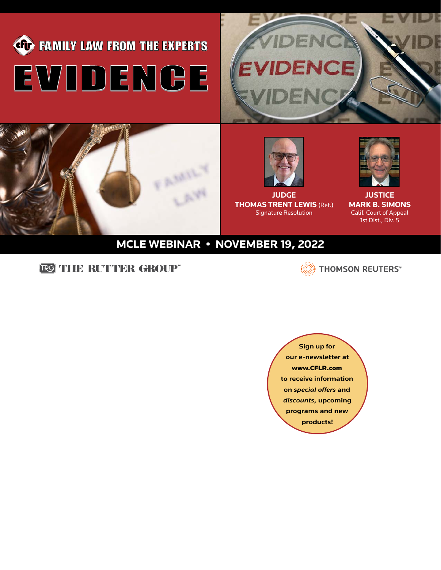







**JUDGE THOMAS TRENT LEWIS** (Ret.) Signature Resolution



**JUSTICE MARK B. SIMONS** Calif. Court of Appeal 1st Dist., Div. 5

## **MCLE WEBINAR • NOVEMBER 19, 2022**

**TRG THE RUTTER GROUP** 



Sign up for our e-newsletter at www.CFLR.com to receive information on *special offers* and *discounts*, upcoming programs and new products!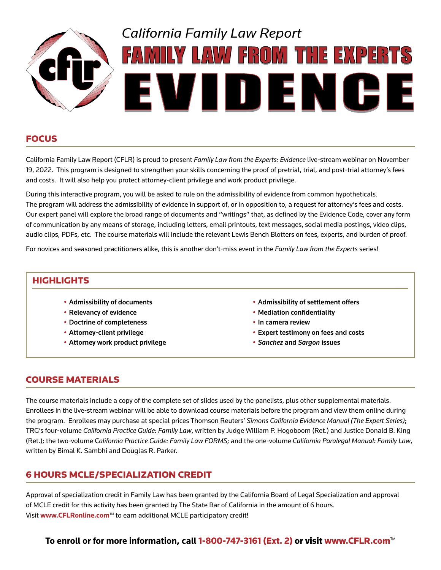

#### **FOCUS**

California Family Law Report (CFLR) is proud to present *Family Law from the Experts: Evidence* live-stream webinar on November 19, 2022. This program is designed to strengthen your skills concerning the proof of pretrial, trial, and post-trial attorney's fees and costs. It will also help you protect attorney-client privilege and work product privilege.

During this interactive program, you will be asked to rule on the admissibility of evidence from common hypotheticals. The program will address the admissibility of evidence in support of, or in opposition to, a request for attorney's fees and costs. Our expert panel will explore the broad range of documents and "writings" that, as defined by the Evidence Code, cover any form of communication by any means of storage, including letters, email printouts, text messages, social media postings, video clips, audio clips, PDFs, etc. The course materials will include the relevant Lewis Bench Blotters on fees, experts, and burden of proof.

For novices and seasoned practitioners alike, this is another don't-miss event in the *Family Law from the Experts* series!

### **HIGHLIGHTS**

- Admissibility of documents
- Relevancy of evidence
- Doctrine of completeness
- Attorney-client privilege
- Attorney work product privilege
- Admissibility of settlement offers
- Mediation confidentiality
- In camera review
- Expert testimony on fees and costs
- *Sanchez* and *Sargon* issues

#### COURSE MATERIALS

The course materials include a copy of the complete set of slides used by the panelists, plus other supplemental materials. Enrollees in the live-stream webinar will be able to download course materials before the program and view them online during the program. Enrollees may purchase at special prices Thomson Reuters' *Simons California Evidence Manual (The Expert Series)*; TRG's four-volume *California Practice Guide: Family Law*, written by Judge William P. Hogoboom (Ret.) and Justice Donald B. King (Ret.); the two-volume C*alifornia Practice Guide: Family Law FORMS*; and the one-volume *California Paralegal Manual: Family Law*, written by Bimal K. Sambhi and Douglas R. Parker.

## 6 HOURS MCLE/SPECIALIZATION CREDIT

Approval of specialization credit in Family Law has been granted by the California Board of Legal Specialization and approval of MCLE credit for this activity has been granted by The State Bar of California in the amount of 6 hours. Visit **www.CFLRonline.com**<sup>™</sup> to earn additional MCLE participatory credit!

To enroll or for more information, call 1-800-747-3161 (Ext. 2) or visit www.CFLR.com<sup>™</sup>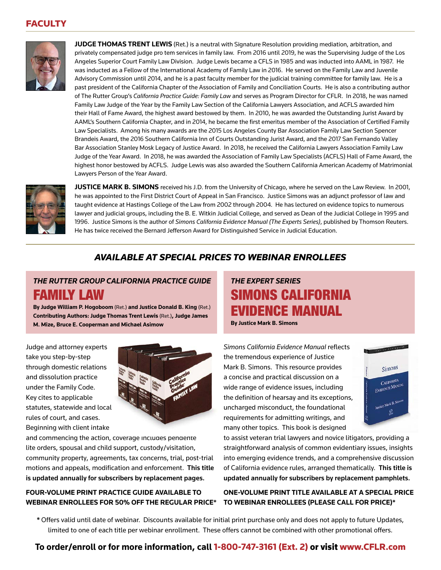## **FACULTY**



**JUDGE THOMAS TRENT LEWIS** (Ret.) is a neutral with Signature Resolution providing mediation, arbitration, and privately compensated judge pro tem services in family law. From 2016 until 2019, he was the Supervising Judge of the Los Angeles Superior Court Family Law Division. Judge Lewis became a CFLS in 1985 and was inducted into AAML in 1987. He was inducted as a Fellow of the International Academy of Family Law in 2016. He served on the Family Law and Juvenile Advisory Commission until 2014, and he is a past faculty member for the judicial training committee for family law. He is a past president of the California Chapter of the Association of Family and Conciliation Courts. He is also a contributing author of The Rutter Group's *California Practice Guide: Family Law* and serves as Program Director for CFLR. In 2018, he was named Family Law Judge of the Year by the Family Law Section of the California Lawyers Association, and ACFLS awarded him their Hall of Fame Award, the highest award bestowed by them. In 2010, he was awarded the Outstanding Jurist Award by AAML's Southern California Chapter, and in 2014, he became the first emeritus member of the Association of Certified Family Law Specialists. Among his many awards are the 2015 Los Angeles County Bar Association Family Law Section Spencer Brandeis Award, the 2016 Southern California Inn of Courts Outstanding Jurist Award, and the 2017 San Fernando Valley Bar Association Stanley Mosk Legacy of Justice Award. In 2018, he received the California Lawyers Association Family Law Judge of the Year Award. In 2018, he was awarded the Association of Family Law Specialists (ACFLS) Hall of Fame Award, the highest honor bestowed by ACFLS. Judge Lewis was also awarded the Southern California American Academy of Matrimonial Lawyers Person of the Year Award.



**JUSTICE MARK B. SIMONS** received his J.D. from the University of Chicago, where he served on the Law Review. In 2001, he was appointed to the First District Court of Appeal in San Francisco. Justice Simons was an adjunct professor of law and taught evidence at Hastings College of the Law from 2002 through 2004. He has lectured on evidence topics to numerous lawyer and judicial groups, including the B. E. Witkin Judicial College, and served as Dean of the Judicial College in 1995 and 1996. Justice Simons is the author of *Simons California Evidence Manual (The Experts Series)*, published by Thomson Reuters. He has twice received the Bernard Jefferson Award for Distinguished Service in Judicial Education.

## *AVAILABLE AT SPECIAL PRICES TO WEBINAR ENROLLEES*

## *THE RUTTER GROUP CALIFORNIA PRACTICE GUIDE* FAMILY LAW

**By Judge William P. Hogoboom** (Ret.) **and Justice Donald B. King** (Ret.) **Contributing Authors: Judge Thomas Trent Lewis** (Ret.)**, Judge James M. Mize, Bruce E. Cooperman and Michael Asimow**

Judge and attorney experts take you step-by-step through domestic relations and dissolution practice under the Family Code. Key cites to applicable statutes, statewide and local rules of court, and cases. Beginning with client intake



and commencing the action, coverage includes pendente lite orders, spousal and child support, custody/visitation, community property, agreements, tax concerns, trial, post-trial motions and appeals, modification and enforcement. This title is updated annually for subscribers by replacement pages.

#### **FOUR-VOLUME PRINT PRACTICE GUIDE AVAILABLE TO WEBINAR ENROLLEES FOR 50% OFF THE REGULAR PRICE\* TO WEBINAR ENROLLEES (PLEASE CALL FOR PRICE)\***

## *THE EXPERT SERIES*  SIMONS CALIFORNIA EVIDENCE MANUAL **By Justice Mark B. Simons**

*Simons California Evidence Manual* reflects the tremendous experience of Justice Mark B. Simons. This resource provides a concise and practical discussion on a wide range of evidence issues, including the definition of hearsay and its exceptions, uncharged misconduct, the foundational requirements for admitting writings, and many other topics. This book is designed



to assist veteran trial lawyers and novice litigators, providing a straightforward analysis of common evidentiary issues, insights into emerging evidence trends, and a comprehensive discussion of California evidence rules, arranged thematically. This title is updated annually for subscribers by replacement pamphlets.

## **ONE-VOLUME PRINT TITLE AVAILABLE AT A SPECIAL PRICE**

**\*** Offers valid until date of webinar. Discounts available for initial print purchase only and does not apply to future Updates, limited to one of each title per webinar enrollment. These offers cannot be combined with other promotional offers.

## **To order/enroll or for more information, call** 1-800-747-3161 (Ext. 2) or visit www.CFLR.com